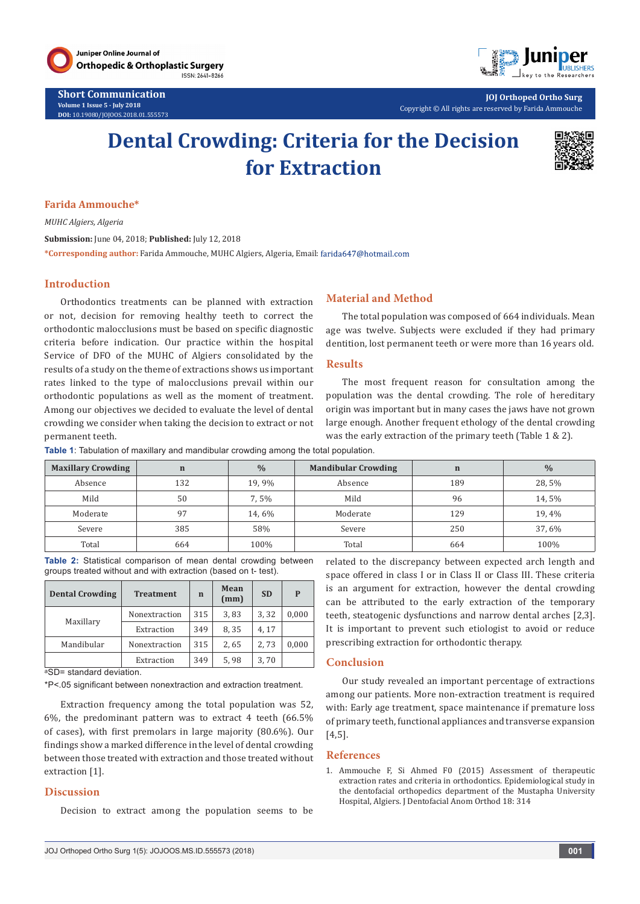

**Short Communication Volume 1 Issue 5 - July 2018 DOI:** [10.19080/JOJOOS.2018.01.555573](http://dx.doi.org/10.19080/JOJOOS.2018.01.555573
)



**JOJ Orthoped Ortho Surg** Copyright © All rights are reserved by Farida Ammouche

# **Dental Crowding: Criteria for the Decision for Extraction**



#### **Farida Ammouche\***

*MUHC Algiers, Algeria*

**Submission:** June 04, 2018; **Published:** July 12, 2018

**\*Corresponding author:** Farida Ammouche, MUHC Algiers, Algeria, Email:

#### **Introduction**

Orthodontics treatments can be planned with extraction or not, decision for removing healthy teeth to correct the orthodontic malocclusions must be based on specific diagnostic criteria before indication. Our practice within the hospital Service of DFO of the MUHC of Algiers consolidated by the results of a study on the theme of extractions shows us important rates linked to the type of malocclusions prevail within our orthodontic populations as well as the moment of treatment. Among our objectives we decided to evaluate the level of dental crowding we consider when taking the decision to extract or not permanent teeth.

# **Material and Method**

The total population was composed of 664 individuals. Mean age was twelve. Subjects were excluded if they had primary dentition, lost permanent teeth or were more than 16 years old.

#### **Results**

The most frequent reason for consultation among the population was the dental crowding. The role of hereditary origin was important but in many cases the jaws have not grown large enough. Another frequent ethology of the dental crowding was the early extraction of the primary teeth (Table 1 & 2).

**Table 1**: Tabulation of maxillary and mandibular crowding among the total population.

| <b>Maxillary Crowding</b> | $\mathbf n$ | $\frac{0}{0}$ | <b>Mandibular Crowding</b> | $\mathbf n$ | $\frac{0}{0}$ |
|---------------------------|-------------|---------------|----------------------------|-------------|---------------|
| Absence                   | 132         | 19,9%         | Absence                    | 189         | 28,5%         |
| Mild                      | 50          | 7,5%          | Mild                       | 96          | 14,5%         |
| Moderate                  | 97          | 14,6%         | Moderate                   | 129         | 19,4%         |
| Severe                    | 385         | 58%           | Severe                     | 250         | 37,6%         |
| Total                     | 664         | 100%          | Total                      | 664         | 100%          |

**Table 2:** Statistical comparison of mean dental crowding between groups treated without and with extraction (based on t- test).

| <b>Dental Crowding</b> | <b>Treatment</b> | $\mathbf n$ | Mean<br>(mm) | <b>SD</b> | P     |
|------------------------|------------------|-------------|--------------|-----------|-------|
|                        | Nonextraction    | 315         | 3,83         | 3,32      | 0,000 |
| Maxillary              | Extraction       | 349         | 8,35         | 4.17      |       |
| Mandibular             | Nonextraction    | 315         | 2,65         | 2,73      | 0,000 |
|                        | Extraction       | 349         | 5,98         | 3,70      |       |

aSD= standard deviation.

\*P<.05 significant between nonextraction and extraction treatment.

Extraction frequency among the total population was 52, 6%, the predominant pattern was to extract 4 teeth (66.5% of cases), with first premolars in large majority (80.6%). Our findings show a marked difference in the level of dental crowding between those treated with extraction and those treated without extraction [1].

# **Discussion**

Decision to extract among the population seems to be

related to the discrepancy between expected arch length and space offered in class I or in Class II or Class III. These criteria is an argument for extraction, however the dental crowding can be attributed to the early extraction of the temporary teeth, steatogenic dysfunctions and narrow dental arches [2,3]. It is important to prevent such etiologist to avoid or reduce prescribing extraction for orthodontic therapy.

## **Conclusion**

Our study revealed an important percentage of extractions among our patients. More non-extraction treatment is required with: Early age treatment, space maintenance if premature loss of primary teeth, functional appliances and transverse expansion [4,5].

#### **References**

1. [Ammouche F, Si Ahmed F0 \(2015\) Assessment of therapeutic](https://www.jdao-journal.org/articles/odfen/pdf/2015/03/odfen2015183p314.pdf)  [extraction rates and criteria in orthodontics. Epidemiological study in](https://www.jdao-journal.org/articles/odfen/pdf/2015/03/odfen2015183p314.pdf)  [the dentofacial orthopedics department of the Mustapha University](https://www.jdao-journal.org/articles/odfen/pdf/2015/03/odfen2015183p314.pdf)  [Hospital, Algiers. J Dentofacial Anom Orthod 18: 314](https://www.jdao-journal.org/articles/odfen/pdf/2015/03/odfen2015183p314.pdf)